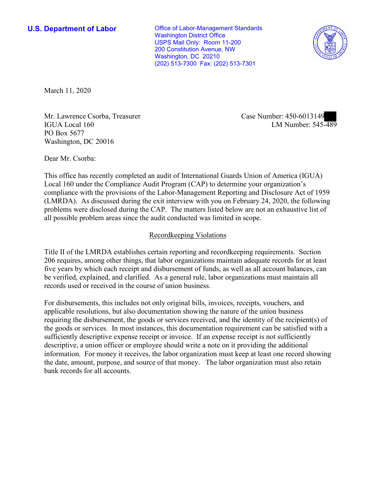**U.S. Department of Labor Conservative Conservative Conservative Conservative U.S.** Department of Labor Washington District Office USPS Mail Only: Room 11-200 200 Constitution Avenue, NW Washington, DC 20210 (202) 513-7300 Fax: (202) 513-7301



March 11, 2020

Mr. Lawrence Csorba, Treasurer and Case Number: 450-0013149<br>IGUA Local 160 LM Number: 545-489 Mr. Lawrence Csorba, Treasurer Case Number: 450-6013149 PO Box 5677 Washington, DC 20016

Dear Mr. Csorba:

 This office has recently completed an audit of International Guards Union of America (IGUA) Local 160 under the Compliance Audit Program (CAP) to determine your organization's compliance with the provisions of the Labor-Management Reporting and Disclosure Act of 1959 (LMRDA). As discussed during the exit interview with you on February 24, 2020, the following problems were disclosed during the CAP. The matters listed below are not an exhaustive list of all possible problem areas since the audit conducted was limited in scope.

# Recordkeeping Violations

 Title II of the LMRDA establishes certain reporting and recordkeeping requirements. Section 206 requires, among other things, that labor organizations maintain adequate records for at least be verified, explained, and clarified. As a general rule, labor organizations must maintain all five years by which each receipt and disbursement of funds, as well as all account balances, can records used or received in the course of union business.

For disbursements, this includes not only original bills, invoices, receipts, vouchers, and applicable resolutions, but also documentation showing the nature of the union business requiring the disbursement, the goods or services received, and the identity of the recipient(s) of the goods or services. In most instances, this documentation requirement can be satisfied with a sufficiently descriptive expense receipt or invoice. If an expense receipt is not sufficiently descriptive, a union officer or employee should write a note on it providing the additional information. For money it receives, the labor organization must keep at least one record showing the date, amount, purpose, and source of that money. The labor organization must also retain bank records for all accounts.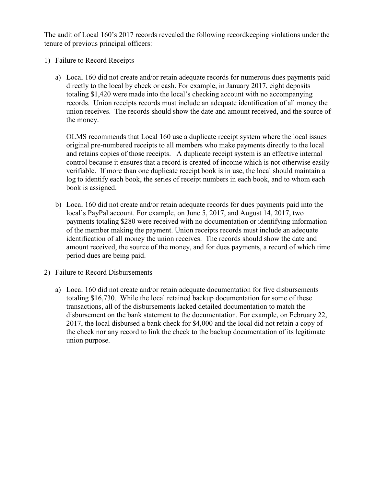The audit of Local 160's 2017 records revealed the following recordkeeping violations under the tenure of previous principal officers:

- 1) Failure to Record Receipts
	- a) Local 160 did not create and/or retain adequate records for numerous dues payments paid directly to the local by check or cash. For example, in January 2017, eight deposits totaling \$1,420 were made into the local's checking account with no accompanying records. Union receipts records must include an adequate identification of all money the union receives. The records should show the date and amount received, and the source of the money.

 original pre-numbered receipts to all members who make payments directly to the local OLMS recommends that Local 160 use a duplicate receipt system where the local issues and retains copies of those receipts. A duplicate receipt system is an effective internal control because it ensures that a record is created of income which is not otherwise easily verifiable. If more than one duplicate receipt book is in use, the local should maintain a log to identify each book, the series of receipt numbers in each book, and to whom each book is assigned.

- b) Local 160 did not create and/or retain adequate records for dues payments paid into the local's PayPal account. For example, on June 5, 2017, and August 14, 2017, two payments totaling \$280 were received with no documentation or identifying information of the member making the payment. Union receipts records must include an adequate identification of all money the union receives. The records should show the date and amount received, the source of the money, and for dues payments, a record of which time period dues are being paid.
- 2) Failure to Record Disbursements
	- totaling \$16,730. While the local retained backup documentation for some of these a) Local 160 did not create and/or retain adequate documentation for five disbursements transactions, all of the disbursements lacked detailed documentation to match the disbursement on the bank statement to the documentation. For example, on February 22, 2017, the local disbursed a bank check for \$4,000 and the local did not retain a copy of the check nor any record to link the check to the backup documentation of its legitimate union purpose.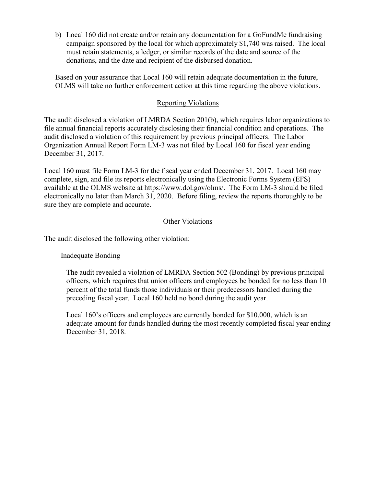b) Local 160 did not create and/or retain any documentation for a GoFundMe fundraising campaign sponsored by the local for which approximately \$1,740 was raised. The local donations, and the date and recipient of the disbursed donation. must retain statements, a ledger, or similar records of the date and source of the

Based on your assurance that Local 160 will retain adequate documentation in the future, OLMS will take no further enforcement action at this time regarding the above violations.

### Reporting Violations

 audit disclosed a violation of this requirement by previous principal officers. The Labor Organization Annual Report Form LM-3 was not filed by Local 160 for fiscal year ending The audit disclosed a violation of LMRDA Section 201(b), which requires labor organizations to file annual financial reports accurately disclosing their financial condition and operations. The December 31, 2017.

 Local 160 must file Form LM-3 for the fiscal year ended December 31, 2017. Local 160 may sure they are complete and accurate.<br>Other Violations complete, sign, and file its reports electronically using the Electronic Forms System (EFS) available at the OLMS website at [https://www.dol.gov/olms/](https://www.dol.gov/olms). The Form LM-3 should be filed electronically no later than March 31, 2020. Before filing, review the reports thoroughly to be

The audit disclosed the following other violation:

Inadequate Bonding

 preceding fiscal year. Local 160 held no bond during the audit year. The audit revealed a violation of LMRDA Section 502 (Bonding) by previous principal officers, which requires that union officers and employees be bonded for no less than 10 percent of the total funds those individuals or their predecessors handled during the

 Local 160's officers and employees are currently bonded for \$10,000, which is an adequate amount for funds handled during the most recently completed fiscal year ending December 31, 2018.